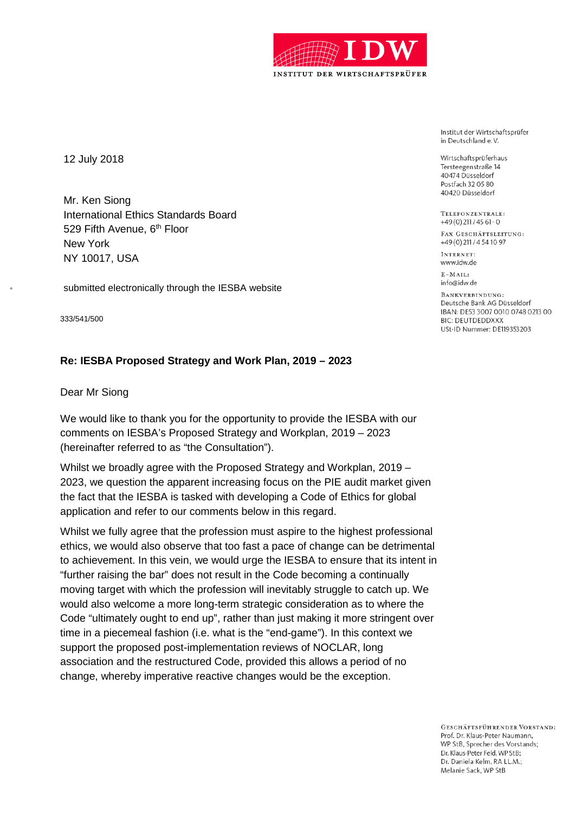

12 July 2018

Mr. Ken Siong International Ethics Standards Board 529 Fifth Avenue, 6<sup>th</sup> Floor New York NY 10017, USA

submitted electronically through the IESBA website

333/541/500

# **Re: IESBA Proposed Strategy and Work Plan, 2019 – 2023**

Dear Mr Siong

We would like to thank you for the opportunity to provide the IESBA with our comments on IESBA's Proposed Strategy and Workplan, 2019 – 2023 (hereinafter referred to as "the Consultation").

Whilst we broadly agree with the Proposed Strategy and Workplan, 2019 – 2023, we question the apparent increasing focus on the PIE audit market given the fact that the IESBA is tasked with developing a Code of Ethics for global application and refer to our comments below in this regard.

Whilst we fully agree that the profession must aspire to the highest professional ethics, we would also observe that too fast a pace of change can be detrimental to achievement. In this vein, we would urge the IESBA to ensure that its intent in "further raising the bar" does not result in the Code becoming a continually moving target with which the profession will inevitably struggle to catch up. We would also welcome a more long-term strategic consideration as to where the Code "ultimately ought to end up", rather than just making it more stringent over time in a piecemeal fashion (i.e. what is the "end-game"). In this context we support the proposed post-implementation reviews of NOCLAR, long association and the restructured Code, provided this allows a period of no change, whereby imperative reactive changes would be the exception.

Institut der Wirtschaftsprüfer in Deutschland e.V.

Wirtschaftsprüferhaus Tersteegenstraße 14 40474 Düsseldorf Postfach 32 05 80 40420 Düsseldorf

TELEFONZENTRALE. +49 (0) 211 / 45 61 - 0

FAX GESCHÄFTSLEITUNG: +49 (0) 211 / 4 54 10 97

INTERNET: www.idw.de

 $E-MAIL$ info@idw.de

BANKVERBINDING. Deutsche Bank AG Düsseldorf IBAN: DE53 3007 0010 0748 0213 00 **BIC: DEUTDEDDXXX USt-ID Nummer: DE119353203** 

GESCHÄFTSFÜHRENDER VORSTAND: Prof. Dr. Klaus-Peter Naumann. WP StB, Sprecher des Vorstands; Dr. Klaus-Peter Feld, WP StB; Dr. Daniela Kelm, RA LL.M.: Melanie Sack, WP StB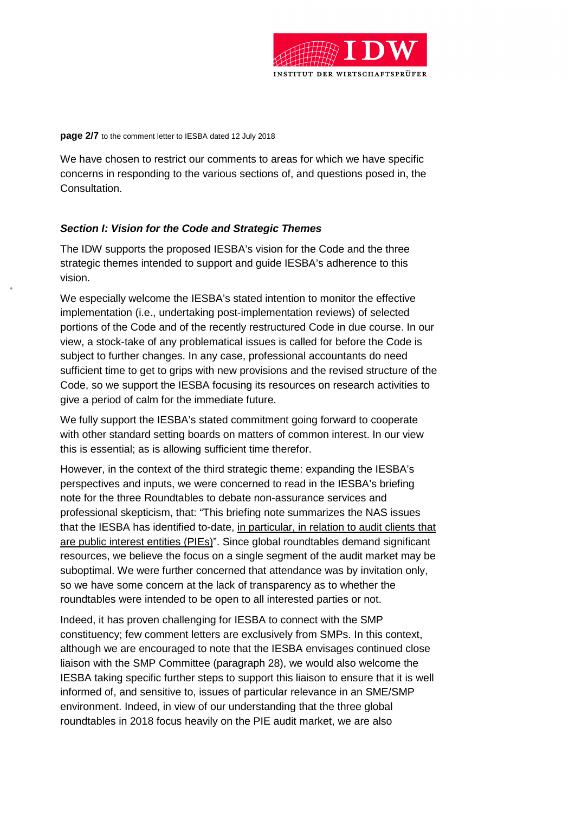

**page 2/7** to the comment letter to IESBA dated 12 July 2018

We have chosen to restrict our comments to areas for which we have specific concerns in responding to the various sections of, and questions posed in, the Consultation.

## *Section I: Vision for the Code and Strategic Themes*

The IDW supports the proposed IESBA's vision for the Code and the three strategic themes intended to support and guide IESBA's adherence to this vision.

We especially welcome the IESBA's stated intention to monitor the effective implementation (i.e., undertaking post-implementation reviews) of selected portions of the Code and of the recently restructured Code in due course. In our view, a stock-take of any problematical issues is called for before the Code is subject to further changes. In any case, professional accountants do need sufficient time to get to grips with new provisions and the revised structure of the Code, so we support the IESBA focusing its resources on research activities to give a period of calm for the immediate future.

We fully support the IESBA's stated commitment going forward to cooperate with other standard setting boards on matters of common interest. In our view this is essential; as is allowing sufficient time therefor.

However, in the context of the third strategic theme: expanding the IESBA's perspectives and inputs, we were concerned to read in the IESBA's briefing note for the three Roundtables to debate non-assurance services and professional skepticism, that: "This briefing note summarizes the NAS issues that the IESBA has identified to-date, in particular, in relation to audit clients that are public interest entities (PIEs)". Since global roundtables demand significant resources, we believe the focus on a single segment of the audit market may be suboptimal. We were further concerned that attendance was by invitation only, so we have some concern at the lack of transparency as to whether the roundtables were intended to be open to all interested parties or not.

Indeed, it has proven challenging for IESBA to connect with the SMP constituency; few comment letters are exclusively from SMPs. In this context, although we are encouraged to note that the IESBA envisages continued close liaison with the SMP Committee (paragraph 28), we would also welcome the IESBA taking specific further steps to support this liaison to ensure that it is well informed of, and sensitive to, issues of particular relevance in an SME/SMP environment. Indeed, in view of our understanding that the three global roundtables in 2018 focus heavily on the PIE audit market, we are also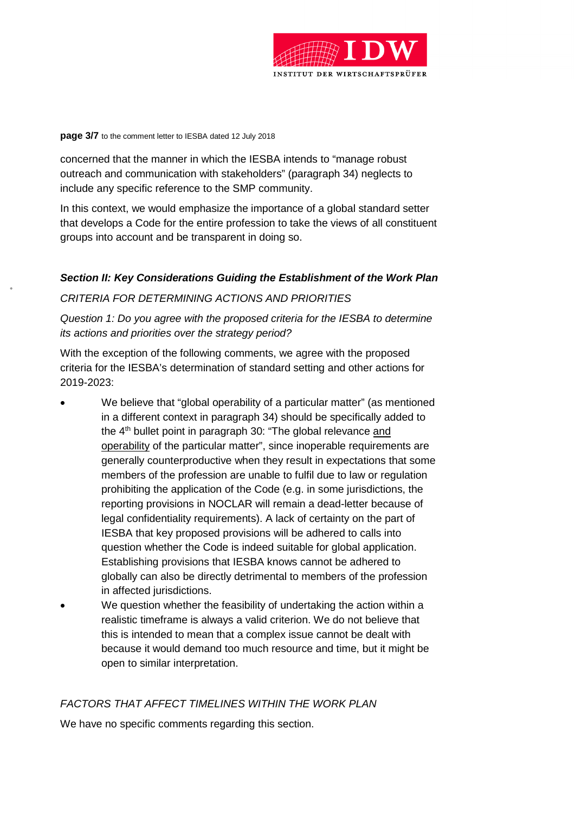

#### **page 3/7** to the comment letter to IESBA dated 12 July 2018

concerned that the manner in which the IESBA intends to "manage robust outreach and communication with stakeholders" (paragraph 34) neglects to include any specific reference to the SMP community.

In this context, we would emphasize the importance of a global standard setter that develops a Code for the entire profession to take the views of all constituent groups into account and be transparent in doing so.

## *Section II: Key Considerations Guiding the Establishment of the Work Plan*

### *CRITERIA FOR DETERMINING ACTIONS AND PRIORITIES*

*Question 1: Do you agree with the proposed criteria for the IESBA to determine its actions and priorities over the strategy period?* 

With the exception of the following comments, we agree with the proposed criteria for the IESBA's determination of standard setting and other actions for 2019-2023:

- We believe that "global operability of a particular matter" (as mentioned in a different context in paragraph 34) should be specifically added to the  $4<sup>th</sup>$  bullet point in paragraph 30: "The global relevance and operability of the particular matter", since inoperable requirements are generally counterproductive when they result in expectations that some members of the profession are unable to fulfil due to law or regulation prohibiting the application of the Code (e.g. in some jurisdictions, the reporting provisions in NOCLAR will remain a dead-letter because of legal confidentiality requirements). A lack of certainty on the part of IESBA that key proposed provisions will be adhered to calls into question whether the Code is indeed suitable for global application. Establishing provisions that IESBA knows cannot be adhered to globally can also be directly detrimental to members of the profession in affected jurisdictions.
- We question whether the feasibility of undertaking the action within a realistic timeframe is always a valid criterion. We do not believe that this is intended to mean that a complex issue cannot be dealt with because it would demand too much resource and time, but it might be open to similar interpretation.

### *FACTORS THAT AFFECT TIMELINES WITHIN THE WORK PLAN*

We have no specific comments regarding this section.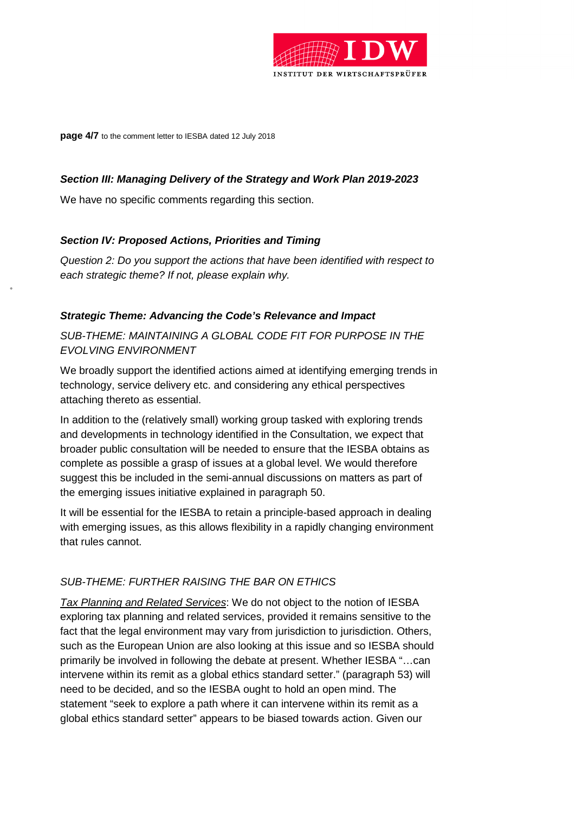

**page 4/7** to the comment letter to IESBA dated 12 July 2018

# *Section III: Managing Delivery of the Strategy and Work Plan 2019-2023*

We have no specific comments regarding this section.

# *Section IV: Proposed Actions, Priorities and Timing*

*Question 2: Do you support the actions that have been identified with respect to each strategic theme? If not, please explain why.* 

## *Strategic Theme: Advancing the Code's Relevance and Impact*

*SUB-THEME: MAINTAINING A GLOBAL CODE FIT FOR PURPOSE IN THE EVOLVING ENVIRONMENT* 

We broadly support the identified actions aimed at identifying emerging trends in technology, service delivery etc. and considering any ethical perspectives attaching thereto as essential.

In addition to the (relatively small) working group tasked with exploring trends and developments in technology identified in the Consultation, we expect that broader public consultation will be needed to ensure that the IESBA obtains as complete as possible a grasp of issues at a global level. We would therefore suggest this be included in the semi-annual discussions on matters as part of the emerging issues initiative explained in paragraph 50.

It will be essential for the IESBA to retain a principle-based approach in dealing with emerging issues, as this allows flexibility in a rapidly changing environment that rules cannot.

## *SUB-THEME: FURTHER RAISING THE BAR ON ETHICS*

*Tax Planning and Related Services*: We do not object to the notion of IESBA exploring tax planning and related services, provided it remains sensitive to the fact that the legal environment may vary from jurisdiction to jurisdiction. Others, such as the European Union are also looking at this issue and so IESBA should primarily be involved in following the debate at present. Whether IESBA "…can intervene within its remit as a global ethics standard setter." (paragraph 53) will need to be decided, and so the IESBA ought to hold an open mind. The statement "seek to explore a path where it can intervene within its remit as a global ethics standard setter" appears to be biased towards action. Given our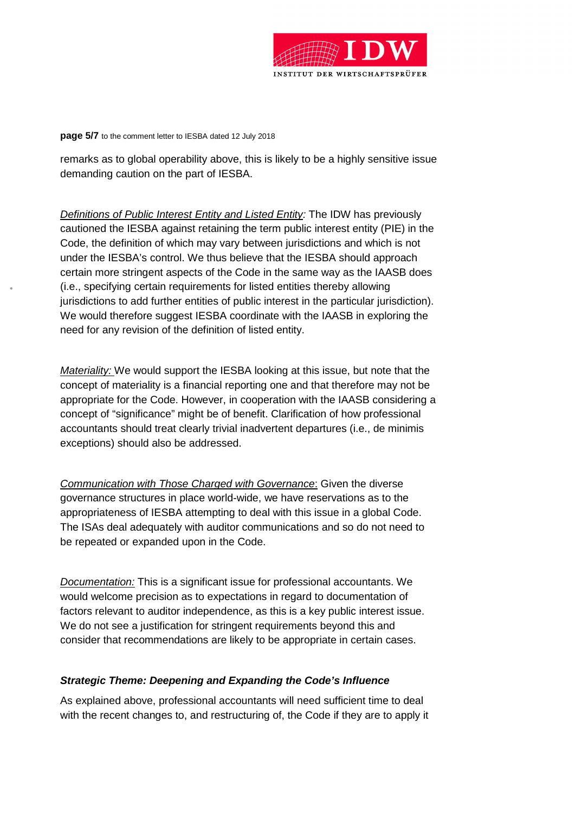

**page 5/7** to the comment letter to IESBA dated 12 July 2018

remarks as to global operability above, this is likely to be a highly sensitive issue demanding caution on the part of IESBA.

*Definitions of Public Interest Entity and Listed Entity:* The IDW has previously cautioned the IESBA against retaining the term public interest entity (PIE) in the Code, the definition of which may vary between jurisdictions and which is not under the IESBA's control. We thus believe that the IESBA should approach certain more stringent aspects of the Code in the same way as the IAASB does (i.e., specifying certain requirements for listed entities thereby allowing jurisdictions to add further entities of public interest in the particular jurisdiction). We would therefore suggest IESBA coordinate with the IAASB in exploring the need for any revision of the definition of listed entity.

*Materiality:* We would support the IESBA looking at this issue, but note that the concept of materiality is a financial reporting one and that therefore may not be appropriate for the Code. However, in cooperation with the IAASB considering a concept of "significance" might be of benefit. Clarification of how professional accountants should treat clearly trivial inadvertent departures (i.e., de minimis exceptions) should also be addressed.

*Communication with Those Charged with Governance*: Given the diverse governance structures in place world-wide, we have reservations as to the appropriateness of IESBA attempting to deal with this issue in a global Code. The ISAs deal adequately with auditor communications and so do not need to be repeated or expanded upon in the Code.

*Documentation:* This is a significant issue for professional accountants. We would welcome precision as to expectations in regard to documentation of factors relevant to auditor independence, as this is a key public interest issue. We do not see a justification for stringent requirements beyond this and consider that recommendations are likely to be appropriate in certain cases.

#### *Strategic Theme: Deepening and Expanding the Code's Influence*

As explained above, professional accountants will need sufficient time to deal with the recent changes to, and restructuring of, the Code if they are to apply it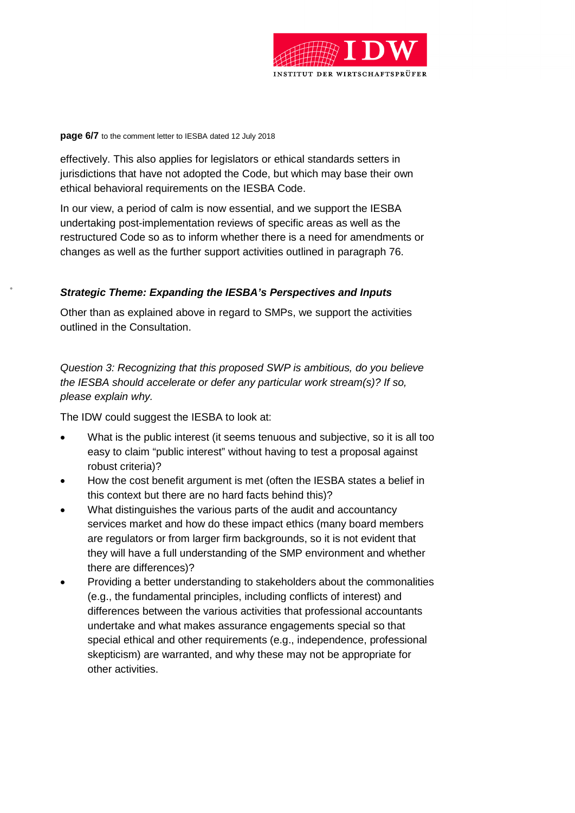

#### **page 6/7** to the comment letter to IESBA dated 12 July 2018

effectively. This also applies for legislators or ethical standards setters in jurisdictions that have not adopted the Code, but which may base their own ethical behavioral requirements on the IESBA Code.

In our view, a period of calm is now essential, and we support the IESBA undertaking post-implementation reviews of specific areas as well as the restructured Code so as to inform whether there is a need for amendments or changes as well as the further support activities outlined in paragraph 76.

### *Strategic Theme: Expanding the IESBA's Perspectives and Inputs*

Other than as explained above in regard to SMPs, we support the activities outlined in the Consultation.

*Question 3: Recognizing that this proposed SWP is ambitious, do you believe the IESBA should accelerate or defer any particular work stream(s)? If so, please explain why.* 

The IDW could suggest the IESBA to look at:

- What is the public interest (it seems tenuous and subjective, so it is all too easy to claim "public interest" without having to test a proposal against robust criteria)?
- How the cost benefit argument is met (often the IESBA states a belief in this context but there are no hard facts behind this)?
- What distinguishes the various parts of the audit and accountancy services market and how do these impact ethics (many board members are regulators or from larger firm backgrounds, so it is not evident that they will have a full understanding of the SMP environment and whether there are differences)?
- Providing a better understanding to stakeholders about the commonalities (e.g., the fundamental principles, including conflicts of interest) and differences between the various activities that professional accountants undertake and what makes assurance engagements special so that special ethical and other requirements (e.g., independence, professional skepticism) are warranted, and why these may not be appropriate for other activities.